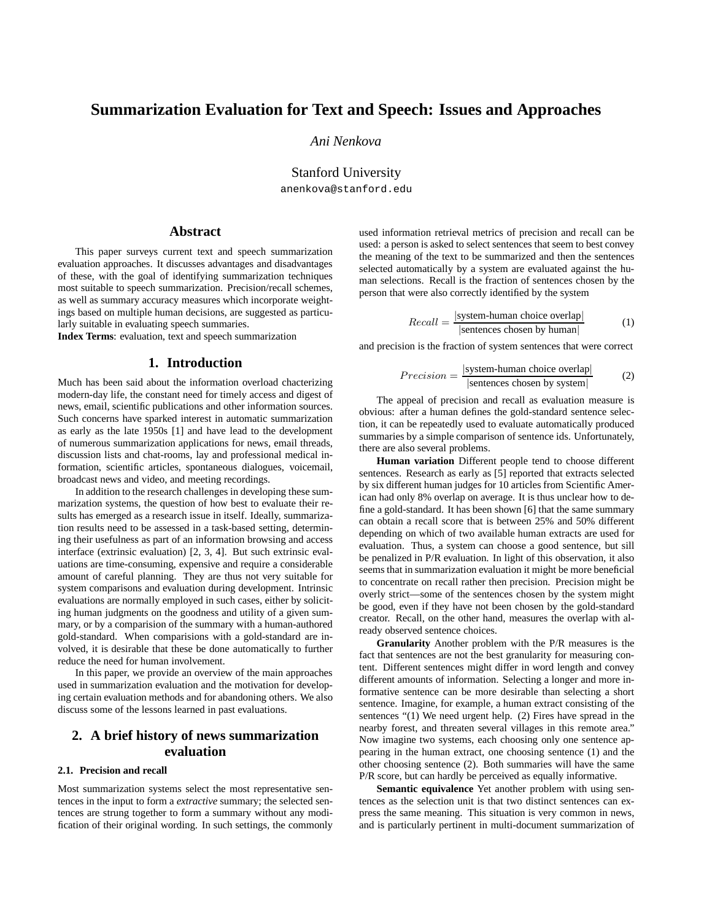# **Summarization Evaluation for Text and Speech: Issues and Approaches**

*Ani Nenkova*

Stanford University

anenkova@stanford.edu

# **Abstract**

This paper surveys current text and speech summarization evaluation approaches. It discusses advantages and disadvantages of these, with the goal of identifying summarization techniques most suitable to speech summarization. Precision/recall schemes, as well as summary accuracy measures which incorporate weightings based on multiple human decisions, are suggested as particularly suitable in evaluating speech summaries.

**Index Terms**: evaluation, text and speech summarization

### **1. Introduction**

Much has been said about the information overload chacterizing modern-day life, the constant need for timely access and digest of news, email, scientific publications and other information sources. Such concerns have sparked interest in automatic summarization as early as the late 1950s [1] and have lead to the development of numerous summarization applications for news, email threads, discussion lists and chat-rooms, lay and professional medical information, scientific articles, spontaneous dialogues, voicemail, broadcast news and video, and meeting recordings.

In addition to the research challenges in developing these summarization systems, the question of how best to evaluate their results has emerged as a research issue in itself. Ideally, summarization results need to be assessed in a task-based setting, determining their usefulness as part of an information browsing and access interface (extrinsic evaluation) [2, 3, 4]. But such extrinsic evaluations are time-consuming, expensive and require a considerable amount of careful planning. They are thus not very suitable for system comparisons and evaluation during development. Intrinsic evaluations are normally employed in such cases, either by soliciting human judgments on the goodness and utility of a given summary, or by a comparision of the summary with a human-authored gold-standard. When comparisions with a gold-standard are involved, it is desirable that these be done automatically to further reduce the need for human involvement.

In this paper, we provide an overview of the main approaches used in summarization evaluation and the motivation for developing certain evaluation methods and for abandoning others. We also discuss some of the lessons learned in past evaluations.

# **2. A brief history of news summarization evaluation**

### **2.1. Precision and recall**

Most summarization systems select the most representative sentences in the input to form a *extractive* summary; the selected sentences are strung together to form a summary without any modification of their original wording. In such settings, the commonly used information retrieval metrics of precision and recall can be used: a person is asked to select sentences that seem to best convey the meaning of the text to be summarized and then the sentences selected automatically by a system are evaluated against the human selections. Recall is the fraction of sentences chosen by the person that were also correctly identified by the system

$$
Recall = \frac{|\text{system-human choice overlap}|}{|\text{sentences chosen by human}|}
$$
 (1)

and precision is the fraction of system sentences that were correct

$$
Precision = \frac{|\text{system-human choice overlap}|}{|\text{sentences chosen by system}|}
$$
 (2)

The appeal of precision and recall as evaluation measure is obvious: after a human defines the gold-standard sentence selection, it can be repeatedly used to evaluate automatically produced summaries by a simple comparison of sentence ids. Unfortunately, there are also several problems.

**Human variation** Different people tend to choose different sentences. Research as early as [5] reported that extracts selected by six different human judges for 10 articles from Scientific American had only 8% overlap on average. It is thus unclear how to define a gold-standard. It has been shown [6] that the same summary can obtain a recall score that is between 25% and 50% different depending on which of two available human extracts are used for evaluation. Thus, a system can choose a good sentence, but sill be penalized in P/R evaluation. In light of this observation, it also seems that in summarization evaluation it might be more beneficial to concentrate on recall rather then precision. Precision might be overly strict—some of the sentences chosen by the system might be good, even if they have not been chosen by the gold-standard creator. Recall, on the other hand, measures the overlap with already observed sentence choices.

**Granularity** Another problem with the P/R measures is the fact that sentences are not the best granularity for measuring content. Different sentences might differ in word length and convey different amounts of information. Selecting a longer and more informative sentence can be more desirable than selecting a short sentence. Imagine, for example, a human extract consisting of the sentences "(1) We need urgent help. (2) Fires have spread in the nearby forest, and threaten several villages in this remote area." Now imagine two systems, each choosing only one sentence appearing in the human extract, one choosing sentence (1) and the other choosing sentence (2). Both summaries will have the same P/R score, but can hardly be perceived as equally informative.

**Semantic equivalence** Yet another problem with using sentences as the selection unit is that two distinct sentences can express the same meaning. This situation is very common in news, and is particularly pertinent in multi-document summarization of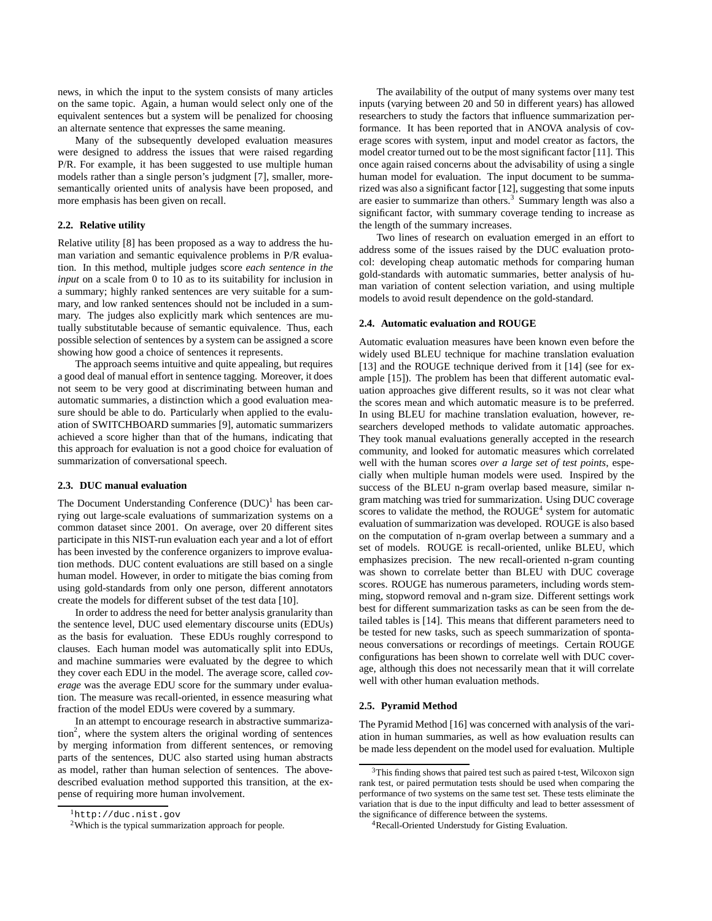news, in which the input to the system consists of many articles on the same topic. Again, a human would select only one of the equivalent sentences but a system will be penalized for choosing an alternate sentence that expresses the same meaning.

Many of the subsequently developed evaluation measures were designed to address the issues that were raised regarding P/R. For example, it has been suggested to use multiple human models rather than a single person's judgment [7], smaller, moresemantically oriented units of analysis have been proposed, and more emphasis has been given on recall.

### **2.2. Relative utility**

Relative utility [8] has been proposed as a way to address the human variation and semantic equivalence problems in P/R evaluation. In this method, multiple judges score *each sentence in the input* on a scale from 0 to 10 as to its suitability for inclusion in a summary; highly ranked sentences are very suitable for a summary, and low ranked sentences should not be included in a summary. The judges also explicitly mark which sentences are mutually substitutable because of semantic equivalence. Thus, each possible selection of sentences by a system can be assigned a score showing how good a choice of sentences it represents.

The approach seems intuitive and quite appealing, but requires a good deal of manual effort in sentence tagging. Moreover, it does not seem to be very good at discriminating between human and automatic summaries, a distinction which a good evaluation measure should be able to do. Particularly when applied to the evaluation of SWITCHBOARD summaries [9], automatic summarizers achieved a score higher than that of the humans, indicating that this approach for evaluation is not a good choice for evaluation of summarization of conversational speech.

### **2.3. DUC manual evaluation**

The Document Understanding Conference  $(DUC)^1$  has been carrying out large-scale evaluations of summarization systems on a common dataset since 2001. On average, over 20 different sites participate in this NIST-run evaluation each year and a lot of effort has been invested by the conference organizers to improve evaluation methods. DUC content evaluations are still based on a single human model. However, in order to mitigate the bias coming from using gold-standards from only one person, different annotators create the models for different subset of the test data [10].

In order to address the need for better analysis granularity than the sentence level, DUC used elementary discourse units (EDUs) as the basis for evaluation. These EDUs roughly correspond to clauses. Each human model was automatically split into EDUs, and machine summaries were evaluated by the degree to which they cover each EDU in the model. The average score, called *coverage* was the average EDU score for the summary under evaluation. The measure was recall-oriented, in essence measuring what fraction of the model EDUs were covered by a summary.

In an attempt to encourage research in abstractive summarization<sup>2</sup>, where the system alters the original wording of sentences by merging information from different sentences, or removing parts of the sentences, DUC also started using human abstracts as model, rather than human selection of sentences. The abovedescribed evaluation method supported this transition, at the expense of requiring more human involvement.

The availability of the output of many systems over many test inputs (varying between 20 and 50 in different years) has allowed researchers to study the factors that influence summarization performance. It has been reported that in ANOVA analysis of coverage scores with system, input and model creator as factors, the model creator turned out to be the most significant factor [11]. This once again raised concerns about the advisability of using a single human model for evaluation. The input document to be summarized was also a significant factor [12], suggesting that some inputs are easier to summarize than others. $3$  Summary length was also a significant factor, with summary coverage tending to increase as the length of the summary increases.

Two lines of research on evaluation emerged in an effort to address some of the issues raised by the DUC evaluation protocol: developing cheap automatic methods for comparing human gold-standards with automatic summaries, better analysis of human variation of content selection variation, and using multiple models to avoid result dependence on the gold-standard.

#### **2.4. Automatic evaluation and ROUGE**

Automatic evaluation measures have been known even before the widely used BLEU technique for machine translation evaluation [13] and the ROUGE technique derived from it [14] (see for example [15]). The problem has been that different automatic evaluation approaches give different results, so it was not clear what the scores mean and which automatic measure is to be preferred. In using BLEU for machine translation evaluation, however, researchers developed methods to validate automatic approaches. They took manual evaluations generally accepted in the research community, and looked for automatic measures which correlated well with the human scores *over a large set of test points*, especially when multiple human models were used. Inspired by the success of the BLEU n-gram overlap based measure, similar ngram matching was tried for summarization. Using DUC coverage scores to validate the method, the  $ROUGE<sup>4</sup>$  system for automatic evaluation of summarization was developed. ROUGE is also based on the computation of n-gram overlap between a summary and a set of models. ROUGE is recall-oriented, unlike BLEU, which emphasizes precision. The new recall-oriented n-gram counting was shown to correlate better than BLEU with DUC coverage scores. ROUGE has numerous parameters, including words stemming, stopword removal and n-gram size. Different settings work best for different summarization tasks as can be seen from the detailed tables is [14]. This means that different parameters need to be tested for new tasks, such as speech summarization of spontaneous conversations or recordings of meetings. Certain ROUGE configurations has been shown to correlate well with DUC coverage, although this does not necessarily mean that it will correlate well with other human evaluation methods.

#### **2.5. Pyramid Method**

The Pyramid Method [16] was concerned with analysis of the variation in human summaries, as well as how evaluation results can be made less dependent on the model used for evaluation. Multiple

<sup>1</sup>http://duc.nist.gov

<sup>2</sup>Which is the typical summarization approach for people.

<sup>&</sup>lt;sup>3</sup>This finding shows that paired test such as paired t-test, Wilcoxon sign rank test, or paired permutation tests should be used when comparing the performance of two systems on the same test set. These tests eliminate the variation that is due to the input difficulty and lead to better assessment of the significance of difference between the systems.

<sup>4</sup>Recall-Oriented Understudy for Gisting Evaluation.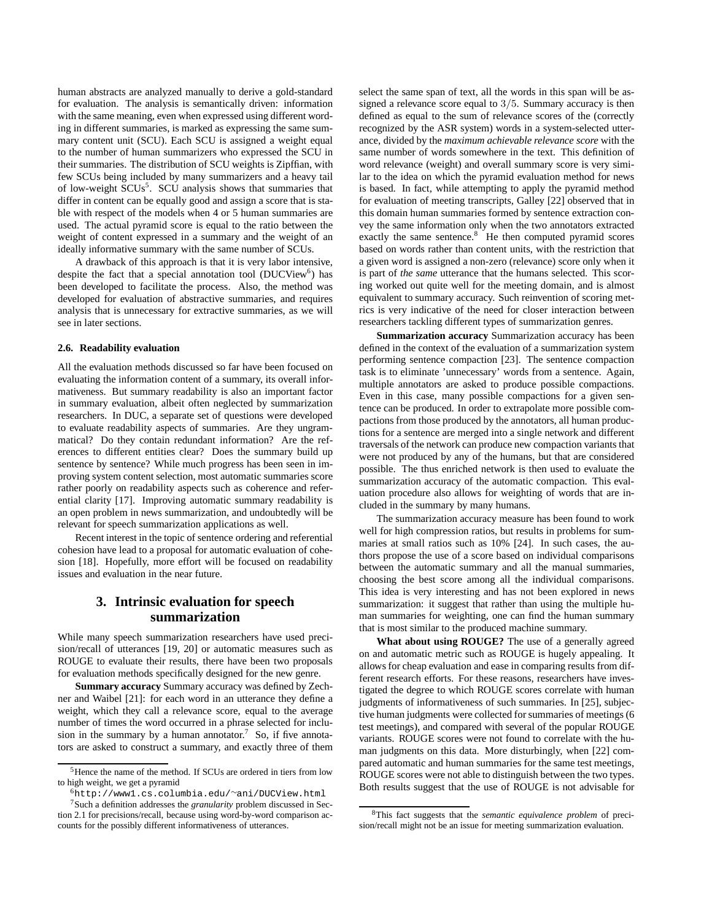human abstracts are analyzed manually to derive a gold-standard for evaluation. The analysis is semantically driven: information with the same meaning, even when expressed using different wording in different summaries, is marked as expressing the same summary content unit (SCU). Each SCU is assigned a weight equal to the number of human summarizers who expressed the SCU in their summaries. The distribution of SCU weights is Zipffian, with few SCUs being included by many summarizers and a heavy tail of low-weight SCUs<sup>5</sup>. SCU analysis shows that summaries that differ in content can be equally good and assign a score that is stable with respect of the models when 4 or 5 human summaries are used. The actual pyramid score is equal to the ratio between the weight of content expressed in a summary and the weight of an ideally informative summary with the same number of SCUs.

A drawback of this approach is that it is very labor intensive, despite the fact that a special annotation tool (DUCView<sup>6</sup>) has been developed to facilitate the process. Also, the method was developed for evaluation of abstractive summaries, and requires analysis that is unnecessary for extractive summaries, as we will see in later sections.

#### **2.6. Readability evaluation**

All the evaluation methods discussed so far have been focused on evaluating the information content of a summary, its overall informativeness. But summary readability is also an important factor in summary evaluation, albeit often neglected by summarization researchers. In DUC, a separate set of questions were developed to evaluate readability aspects of summaries. Are they ungrammatical? Do they contain redundant information? Are the references to different entities clear? Does the summary build up sentence by sentence? While much progress has been seen in improving system content selection, most automatic summaries score rather poorly on readability aspects such as coherence and referential clarity [17]. Improving automatic summary readability is an open problem in news summarization, and undoubtedly will be relevant for speech summarization applications as well.

Recent interest in the topic of sentence ordering and referential cohesion have lead to a proposal for automatic evaluation of cohesion [18]. Hopefully, more effort will be focused on readability issues and evaluation in the near future.

# **3. Intrinsic evaluation for speech summarization**

While many speech summarization researchers have used precision/recall of utterances [19, 20] or automatic measures such as ROUGE to evaluate their results, there have been two proposals for evaluation methods specifically designed for the new genre.

**Summary accuracy** Summary accuracy was defined by Zechner and Waibel [21]: for each word in an utterance they define a weight, which they call a relevance score, equal to the average number of times the word occurred in a phrase selected for inclusion in the summary by a human annotator.<sup>7</sup> So, if five annotators are asked to construct a summary, and exactly three of them select the same span of text, all the words in this span will be assigned a relevance score equal to 3/5. Summary accuracy is then defined as equal to the sum of relevance scores of the (correctly recognized by the ASR system) words in a system-selected utterance, divided by the *maximum achievable relevance score* with the same number of words somewhere in the text. This definition of word relevance (weight) and overall summary score is very similar to the idea on which the pyramid evaluation method for news is based. In fact, while attempting to apply the pyramid method for evaluation of meeting transcripts, Galley [22] observed that in this domain human summaries formed by sentence extraction convey the same information only when the two annotators extracted exactly the same sentence.<sup>8</sup> He then computed pyramid scores based on words rather than content units, with the restriction that a given word is assigned a non-zero (relevance) score only when it is part of *the same* utterance that the humans selected. This scoring worked out quite well for the meeting domain, and is almost equivalent to summary accuracy. Such reinvention of scoring metrics is very indicative of the need for closer interaction between researchers tackling different types of summarization genres.

**Summarization accuracy** Summarization accuracy has been defined in the context of the evaluation of a summarization system performing sentence compaction [23]. The sentence compaction task is to eliminate 'unnecessary' words from a sentence. Again, multiple annotators are asked to produce possible compactions. Even in this case, many possible compactions for a given sentence can be produced. In order to extrapolate more possible compactions from those produced by the annotators, all human productions for a sentence are merged into a single network and different traversals of the network can produce new compaction variants that were not produced by any of the humans, but that are considered possible. The thus enriched network is then used to evaluate the summarization accuracy of the automatic compaction. This evaluation procedure also allows for weighting of words that are included in the summary by many humans.

The summarization accuracy measure has been found to work well for high compression ratios, but results in problems for summaries at small ratios such as 10% [24]. In such cases, the authors propose the use of a score based on individual comparisons between the automatic summary and all the manual summaries, choosing the best score among all the individual comparisons. This idea is very interesting and has not been explored in news summarization: it suggest that rather than using the multiple human summaries for weighting, one can find the human summary that is most similar to the produced machine summary.

**What about using ROUGE?** The use of a generally agreed on and automatic metric such as ROUGE is hugely appealing. It allows for cheap evaluation and ease in comparing results from different research efforts. For these reasons, researchers have investigated the degree to which ROUGE scores correlate with human judgments of informativeness of such summaries. In [25], subjective human judgments were collected for summaries of meetings (6 test meetings), and compared with several of the popular ROUGE variants. ROUGE scores were not found to correlate with the human judgments on this data. More disturbingly, when [22] compared automatic and human summaries for the same test meetings, ROUGE scores were not able to distinguish between the two types. Both results suggest that the use of ROUGE is not advisable for

<sup>&</sup>lt;sup>5</sup>Hence the name of the method. If SCUs are ordered in tiers from low to high weight, we get a pyramid

<sup>6</sup>http://www1.cs.columbia.edu/∼ani/DUCView.html

<sup>7</sup>Such a definition addresses the *granularity* problem discussed in Section 2.1 for precisions/recall, because using word-by-word comparison accounts for the possibly different informativeness of utterances.

<sup>8</sup>This fact suggests that the *semantic equivalence problem* of precision/recall might not be an issue for meeting summarization evaluation.